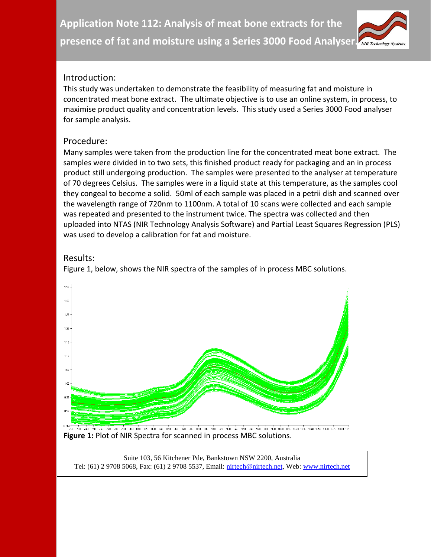

### Introduction:

This study was undertaken to demonstrate the feasibility of measuring fat and moisture in concentrated meat bone extract. The ultimate objective is to use an online system, in process, to maximise product quality and concentration levels. This study used a Series 3000 Food analyser for sample analysis.

### Procedure:

Many samples were taken from the production line for the concentrated meat bone extract. The samples were divided in to two sets, this finished product ready for packaging and an in process product still undergoing production. The samples were presented to the analyser at temperature of 70 degrees Celsius. The samples were in a liquid state at this temperature, as the samples cool they congeal to become a solid. 50ml of each sample was placed in a petrii dish and scanned over the wavelength range of 720nm to 1100nm. A total of 10 scans were collected and each sample was repeated and presented to the instrument twice. The spectra was collected and then uploaded into NTAS (NIR Technology Analysis Software) and Partial Least Squares Regression (PLS) was used to develop a calibration for fat and moisture.

# Results:

Figure 1, below, shows the NIR spectra of the samples of in process MBC solutions.



**Figure 1:** Plot of NIR Spectra for scanned in process MBC solutions.

Suite 103, 56 Kitchener Pde, Bankstown NSW 2200, Australia Tel: (61) 2 9708 5068, Fax: (61) 2 9708 5537, Email: [nirtech@nirtech.net,](mailto:nirtech@nirtech.net) Web[: www.nirtech.net](http://www.nirtech.net/)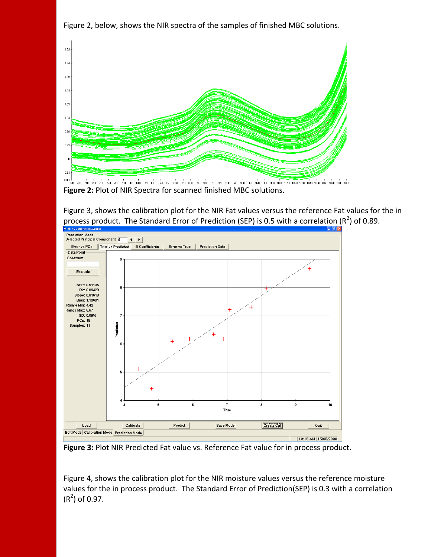

Figure 2, below, shows the NIR spectra of the samples of finished MBC solutions.

**Figure 2:** Plot of NIR Spectra for scanned finished MBC solutions.



Figure 3, shows the calibration plot for the NIR Fat values versus the reference Fat values for the in process product. The Standard Error of Prediction (SEP) is 0.5 with a correlation (R<sup>2</sup>) of 0.89.

**Figure 3:** Plot NIR Predicted Fat value vs. Reference Fat value for in process product.

Figure 4, shows the calibration plot for the NIR moisture values versus the reference moisture values for the in process product. The Standard Error of Prediction(SEP) is 0.3 with a correlation  $(R<sup>2</sup>)$  of 0.97.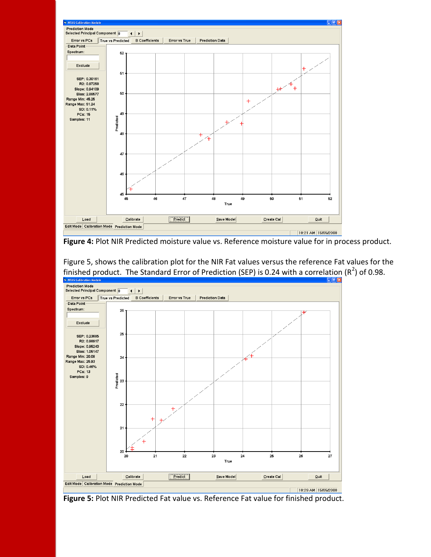

**Figure 4:** Plot NIR Predicted moisture value vs. Reference moisture value for in process product.



Figure 5, shows the calibration plot for the NIR Fat values versus the reference Fat values for the finished product. The Standard Error of Prediction (SEP) is 0.24 with a correlation (R<sup>2</sup>) of 0.98.

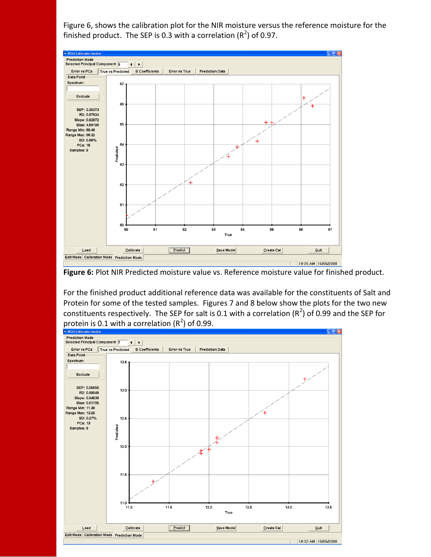Figure 6, shows the calibration plot for the NIR moisture versus the reference moisture for the finished product. The SEP is 0.3 with a correlation ( $R^2$ ) of 0.97.



**Figure 6:** Plot NIR Predicted moisture value vs. Reference moisture value for finished product.

For the finished product additional reference data was available for the constituents of Salt and Protein for some of the tested samples. Figures 7 and 8 below show the plots for the two new constituents respectively. The SEP for salt is 0.1 with a correlation (R<sup>2</sup>) of 0.99 and the SEP for protein is 0.1 with a correlation ( $R^2$ ) of 0.99.